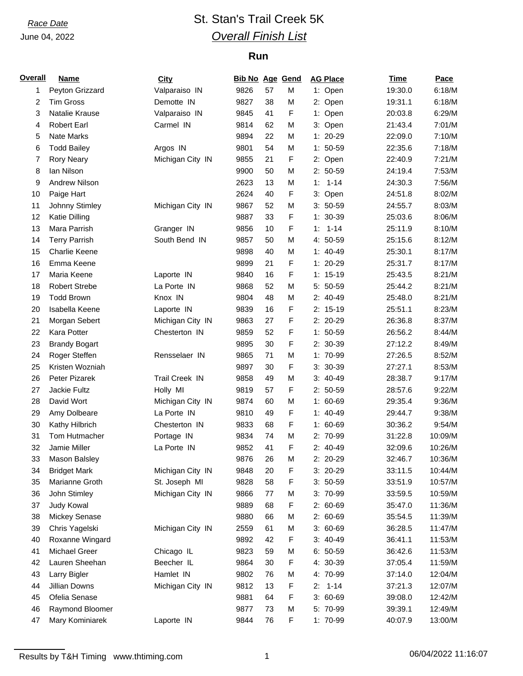### June 04, 2022

# *Race Date* St. Stan's Trail Creek 5K *Overall Finish List*

### **Run**

| <b>Overall</b> | Name                 | City                  | <b>Bib No Age Gend</b> |    |   | <b>AG Place</b> | Time    | Pace    |
|----------------|----------------------|-----------------------|------------------------|----|---|-----------------|---------|---------|
| 1              | Peyton Grizzard      | Valparaiso IN         | 9826                   | 57 | М | 1: Open         | 19:30.0 | 6:18/M  |
| 2              | <b>Tim Gross</b>     | Demotte IN            | 9827                   | 38 | M | 2: Open         | 19:31.1 | 6:18/M  |
| 3              | Natalie Krause       | Valparaiso IN         | 9845                   | 41 | F | 1: Open         | 20:03.8 | 6:29/M  |
| 4              | <b>Robert Earl</b>   | Carmel IN             | 9814                   | 62 | M | 3: Open         | 21:43.4 | 7:01/M  |
| 5              | Nate Marks           |                       | 9894                   | 22 | M | $1: 20-29$      | 22:09.0 | 7:10/M  |
| 6              | <b>Todd Bailey</b>   | Argos IN              | 9801                   | 54 | M | $1: 50-59$      | 22:35.6 | 7:18/M  |
| 7              | <b>Rory Neary</b>    | Michigan City IN      | 9855                   | 21 | F | 2: Open         | 22:40.9 | 7:21/M  |
| 8              | lan Nilson           |                       | 9900                   | 50 | M | $2:50-59$       | 24:19.4 | 7:53/M  |
| 9              | Andrew Nilson        |                       | 2623                   | 13 | M | $1: 1 - 14$     | 24:30.3 | 7:56/M  |
| 10             | Paige Hart           |                       | 2624                   | 40 | F | 3: Open         | 24:51.8 | 8:02/M  |
| 11             | Johnny Stimley       | Michigan City IN      | 9867                   | 52 | М | $3: 50-59$      | 24:55.7 | 8:03/M  |
| 12             | Katie Dilling        |                       | 9887                   | 33 | F | $1: 30-39$      | 25:03.6 | 8:06/M  |
| 13             | Mara Parrish         | Granger IN            | 9856                   | 10 | F | $1 - 14$<br>1:  | 25:11.9 | 8:10/M  |
| 14             | <b>Terry Parrish</b> | South Bend IN         | 9857                   | 50 | M | 4: 50-59        | 25:15.6 | 8:12/M  |
| 15             | <b>Charlie Keene</b> |                       | 9898                   | 40 | M | $1: 40-49$      | 25:30.1 | 8:17/M  |
| 16             | Emma Keene           |                       | 9899                   | 21 | F | $1: 20-29$      | 25:31.7 | 8:17/M  |
| 17             | Maria Keene          | Laporte IN            | 9840                   | 16 | F | $1: 15-19$      | 25:43.5 | 8:21/M  |
| 18             | <b>Robert Strebe</b> | La Porte IN           | 9868                   | 52 | M | 5: 50-59        | 25:44.2 | 8:21/M  |
| 19             | <b>Todd Brown</b>    | Knox IN               | 9804                   | 48 | M | 2: 40-49        | 25:48.0 | 8:21/M  |
| 20             | Isabella Keene       | Laporte IN            | 9839                   | 16 | F | $2: 15-19$      | 25:51.1 | 8:23/M  |
| 21             | Morgan Sebert        | Michigan City IN      | 9863                   | 27 | F | 2: 20-29        | 26:36.8 | 8:37/M  |
| 22             | Kara Potter          | Chesterton IN         | 9859                   | 52 | F | $1: 50-59$      | 26:56.2 | 8:44/M  |
| 23             | <b>Brandy Bogart</b> |                       | 9895                   | 30 | F | 2: 30-39        | 27:12.2 | 8:49/M  |
| 24             | Roger Steffen        | Rensselaer IN         | 9865                   | 71 | M | 1: 70-99        | 27:26.5 | 8:52/M  |
| 25             | Kristen Wozniah      |                       | 9897                   | 30 | F | $3: 30-39$      | 27:27.1 | 8:53/M  |
| 26             | Peter Pizarek        | <b>Trail Creek IN</b> | 9858                   | 49 | M | $3:40-49$       | 28:38.7 | 9:17/M  |
| 27             | Jackie Fultz         | Holly MI              | 9819                   | 57 | F | $2: 50-59$      | 28:57.6 | 9:22/M  |
| 28             | David Wort           | Michigan City IN      | 9874                   | 60 | M | $1: 60-69$      | 29:35.4 | 9:36/M  |
| 29             | Amy Dolbeare         | La Porte IN           | 9810                   | 49 | F | $1: 40-49$      | 29:44.7 | 9:38/M  |
| 30             | Kathy Hilbrich       | Chesterton IN         | 9833                   | 68 | F | $1: 60-69$      | 30:36.2 | 9:54/M  |
| 31             | Tom Hutmacher        | Portage IN            | 9834                   | 74 | M | 2: 70-99        | 31:22.8 | 10:09/M |
| 32             | Jamie Miller         | La Porte IN           | 9852                   | 41 | F | 2: 40-49        | 32:09.6 | 10:26/M |
| 33             | Mason Balsley        |                       | 9876                   | 26 | M | 2: 20-29        | 32:46.7 | 10:36/M |
| 34             | <b>Bridget Mark</b>  | Michigan City IN      | 9848                   | 20 | F | 3: 20-29        | 33:11.5 | 10:44/M |
| 35             | Marianne Groth       | St. Joseph MI         | 9828                   | 58 | F | $3: 50-59$      | 33:51.9 | 10:57/M |
| 36             | John Stimley         | Michigan City IN      | 9866                   | 77 | М | 3: 70-99        | 33:59.5 | 10:59/M |
| 37             | Judy Kowal           |                       | 9889                   | 68 | F | 2: 60-69        | 35:47.0 | 11:36/M |
| 38             | Mickey Senase        |                       | 9880                   | 66 | М | $2: 60-69$      | 35:54.5 | 11:39/M |
| 39             | Chris Yagelski       | Michigan City IN      | 2559                   | 61 | М | $3:60-69$       | 36:28.5 | 11:47/M |
| 40             | Roxanne Wingard      |                       | 9892                   | 42 | F | $3: 40-49$      | 36:41.1 | 11:53/M |
| 41             | Michael Greer        | Chicago IL            | 9823                   | 59 | М | $6: 50-59$      | 36:42.6 | 11:53/M |
| 42             | Lauren Sheehan       | Beecher IL            | 9864                   | 30 | F | 4: 30-39        | 37:05.4 | 11:59/M |
| 43             | Larry Bigler         | Hamlet IN             | 9802                   | 76 | М | 4: 70-99        | 37:14.0 | 12:04/M |
| 44             | Jillian Downs        | Michigan City IN      | 9812                   | 13 | F | $2: 1-14$       | 37:21.3 | 12:07/M |
| 45             | Ofelia Senase        |                       | 9881                   | 64 | F | $3:60-69$       | 39:08.0 | 12:42/M |
| 46             | Raymond Bloomer      |                       | 9877                   | 73 | М | 5: 70-99        | 39:39.1 | 12:49/M |
| 47             | Mary Kominiarek      | Laporte IN            | 9844                   | 76 | F | 1: 70-99        | 40:07.9 | 13:00/M |

Results by T&H Timing www.thtiming.com 1 1 1 06/04/2022 11:16:07